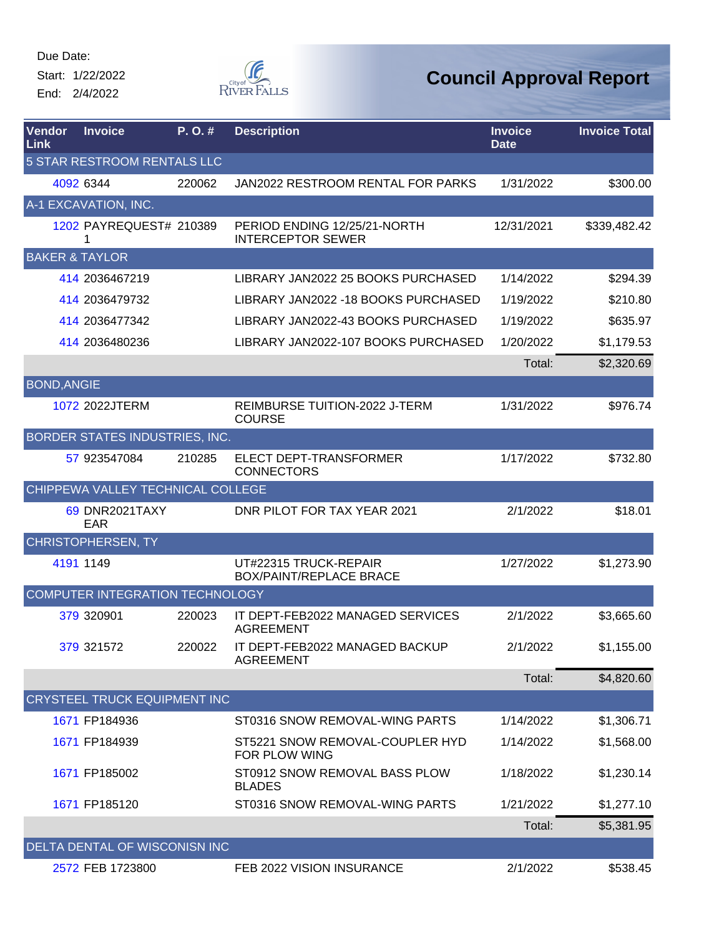Start: 1/22/2022 End: 2/4/2022



| Vendor<br>Link     | <b>Invoice</b>                      | P.O.#  | <b>Description</b>                                       | <b>Invoice</b><br><b>Date</b> | <b>Invoice Total</b> |
|--------------------|-------------------------------------|--------|----------------------------------------------------------|-------------------------------|----------------------|
|                    | 5 STAR RESTROOM RENTALS LLC         |        |                                                          |                               |                      |
|                    | 4092 6344                           | 220062 | JAN2022 RESTROOM RENTAL FOR PARKS                        | 1/31/2022                     | \$300.00             |
|                    | A-1 EXCAVATION, INC.                |        |                                                          |                               |                      |
|                    | 1202 PAYREQUEST# 210389             |        | PERIOD ENDING 12/25/21-NORTH<br><b>INTERCEPTOR SEWER</b> | 12/31/2021                    | \$339,482.42         |
|                    | <b>BAKER &amp; TAYLOR</b>           |        |                                                          |                               |                      |
|                    | 414 2036467219                      |        | LIBRARY JAN2022 25 BOOKS PURCHASED                       | 1/14/2022                     | \$294.39             |
|                    | 414 2036479732                      |        | LIBRARY JAN2022 - 18 BOOKS PURCHASED                     | 1/19/2022                     | \$210.80             |
|                    | 414 2036477342                      |        | LIBRARY JAN2022-43 BOOKS PURCHASED                       | 1/19/2022                     | \$635.97             |
|                    | 414 2036480236                      |        | LIBRARY JAN2022-107 BOOKS PURCHASED                      | 1/20/2022                     | \$1,179.53           |
|                    |                                     |        |                                                          | Total:                        | \$2,320.69           |
| <b>BOND, ANGIE</b> |                                     |        |                                                          |                               |                      |
|                    | 1072 2022JTERM                      |        | REIMBURSE TUITION-2022 J-TERM<br><b>COURSE</b>           | 1/31/2022                     | \$976.74             |
|                    | BORDER STATES INDUSTRIES, INC.      |        |                                                          |                               |                      |
|                    | 57 923547084                        | 210285 | ELECT DEPT-TRANSFORMER<br><b>CONNECTORS</b>              | 1/17/2022                     | \$732.80             |
|                    | CHIPPEWA VALLEY TECHNICAL COLLEGE   |        |                                                          |                               |                      |
|                    | <b>69 DNR2021TAXY</b><br><b>EAR</b> |        | DNR PILOT FOR TAX YEAR 2021                              | 2/1/2022                      | \$18.01              |
|                    | <b>CHRISTOPHERSEN, TY</b>           |        |                                                          |                               |                      |
|                    | 4191 1149                           |        | UT#22315 TRUCK-REPAIR<br><b>BOX/PAINT/REPLACE BRACE</b>  | 1/27/2022                     | \$1,273.90           |
|                    | COMPUTER INTEGRATION TECHNOLOGY     |        |                                                          |                               |                      |
|                    | 379 320901                          | 220023 | IT DEPT-FEB2022 MANAGED SERVICES<br><b>AGREEMENT</b>     | 2/1/2022                      | \$3,665.60           |
|                    | 379 321572                          | 220022 | IT DEPT-FEB2022 MANAGED BACKUP<br><b>AGREEMENT</b>       | 2/1/2022                      | \$1,155.00           |
|                    |                                     |        |                                                          | Total:                        | \$4,820.60           |
|                    | CRYSTEEL TRUCK EQUIPMENT INC        |        |                                                          |                               |                      |
|                    | 1671 FP184936                       |        | ST0316 SNOW REMOVAL-WING PARTS                           | 1/14/2022                     | \$1,306.71           |
|                    | 1671 FP184939                       |        | ST5221 SNOW REMOVAL-COUPLER HYD<br>FOR PLOW WING         | 1/14/2022                     | \$1,568.00           |
|                    | 1671 FP185002                       |        | ST0912 SNOW REMOVAL BASS PLOW<br><b>BLADES</b>           | 1/18/2022                     | \$1,230.14           |
|                    | 1671 FP185120                       |        | ST0316 SNOW REMOVAL-WING PARTS                           | 1/21/2022                     | \$1,277.10           |
|                    |                                     |        |                                                          | Total:                        | \$5,381.95           |
|                    | DELTA DENTAL OF WISCONISN INC       |        |                                                          |                               |                      |
|                    | 2572 FEB 1723800                    |        | FEB 2022 VISION INSURANCE                                | 2/1/2022                      | \$538.45             |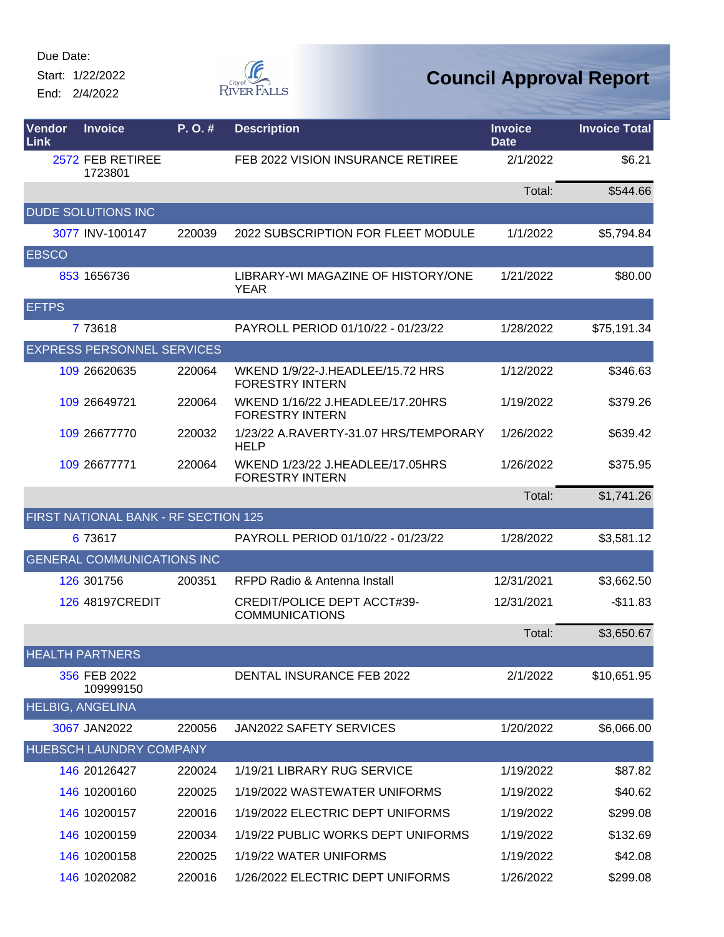Start: 1/22/2022 End: 2/4/2022



| Vendor<br>Link | <b>Invoice</b>                       | P.O.#  | <b>Description</b>                                          | <b>Invoice</b><br><b>Date</b> | <b>Invoice Total</b> |
|----------------|--------------------------------------|--------|-------------------------------------------------------------|-------------------------------|----------------------|
|                | 2572 FEB RETIREE<br>1723801          |        | FEB 2022 VISION INSURANCE RETIREE                           | 2/1/2022                      | \$6.21               |
|                |                                      |        |                                                             | Total:                        | \$544.66             |
|                | <b>DUDE SOLUTIONS INC</b>            |        |                                                             |                               |                      |
|                | 3077 INV-100147                      | 220039 | 2022 SUBSCRIPTION FOR FLEET MODULE                          | 1/1/2022                      | \$5,794.84           |
| <b>EBSCO</b>   |                                      |        |                                                             |                               |                      |
|                | 853 1656736                          |        | LIBRARY-WI MAGAZINE OF HISTORY/ONE<br><b>YEAR</b>           | 1/21/2022                     | \$80.00              |
| <b>EFTPS</b>   |                                      |        |                                                             |                               |                      |
|                | 7 73618                              |        | PAYROLL PERIOD 01/10/22 - 01/23/22                          | 1/28/2022                     | \$75,191.34          |
|                | <b>EXPRESS PERSONNEL SERVICES</b>    |        |                                                             |                               |                      |
|                | 109 26620635                         | 220064 | WKEND 1/9/22-J.HEADLEE/15.72 HRS<br><b>FORESTRY INTERN</b>  | 1/12/2022                     | \$346.63             |
|                | 109 26649721                         | 220064 | WKEND 1/16/22 J.HEADLEE/17.20HRS<br><b>FORESTRY INTERN</b>  | 1/19/2022                     | \$379.26             |
|                | 109 26677770                         | 220032 | 1/23/22 A.RAVERTY-31.07 HRS/TEMPORARY<br><b>HELP</b>        | 1/26/2022                     | \$639.42             |
|                | 109 26677771                         | 220064 | WKEND 1/23/22 J.HEADLEE/17.05HRS<br><b>FORESTRY INTERN</b>  | 1/26/2022                     | \$375.95             |
|                |                                      |        |                                                             | Total:                        | \$1,741.26           |
|                | FIRST NATIONAL BANK - RF SECTION 125 |        |                                                             |                               |                      |
|                | 6 73617                              |        | PAYROLL PERIOD 01/10/22 - 01/23/22                          | 1/28/2022                     | \$3,581.12           |
|                | <b>GENERAL COMMUNICATIONS INC</b>    |        |                                                             |                               |                      |
|                | 126 301756                           | 200351 | RFPD Radio & Antenna Install                                | 12/31/2021                    | \$3,662.50           |
|                | 126 48197CREDIT                      |        | <b>CREDIT/POLICE DEPT ACCT#39-</b><br><b>COMMUNICATIONS</b> | 12/31/2021                    | $-$11.83$            |
|                |                                      |        |                                                             | Total:                        | \$3,650.67           |
|                | <b>HEALTH PARTNERS</b>               |        |                                                             |                               |                      |
|                | 356 FEB 2022<br>109999150            |        | DENTAL INSURANCE FEB 2022                                   | 2/1/2022                      | \$10,651.95          |
|                | <b>HELBIG, ANGELINA</b>              |        |                                                             |                               |                      |
|                | 3067 JAN2022                         | 220056 | <b>JAN2022 SAFETY SERVICES</b>                              | 1/20/2022                     | \$6,066.00           |
|                | <b>HUEBSCH LAUNDRY COMPANY</b>       |        |                                                             |                               |                      |
|                | 146 20126427                         | 220024 | 1/19/21 LIBRARY RUG SERVICE                                 | 1/19/2022                     | \$87.82              |
|                | 146 10200160                         | 220025 | 1/19/2022 WASTEWATER UNIFORMS                               | 1/19/2022                     | \$40.62              |
|                | 146 10200157                         | 220016 | 1/19/2022 ELECTRIC DEPT UNIFORMS                            | 1/19/2022                     | \$299.08             |
|                | 146 10200159                         | 220034 | 1/19/22 PUBLIC WORKS DEPT UNIFORMS                          | 1/19/2022                     | \$132.69             |
|                | 146 10200158                         | 220025 | 1/19/22 WATER UNIFORMS                                      | 1/19/2022                     | \$42.08              |
|                | 146 10202082                         | 220016 | 1/26/2022 ELECTRIC DEPT UNIFORMS                            | 1/26/2022                     | \$299.08             |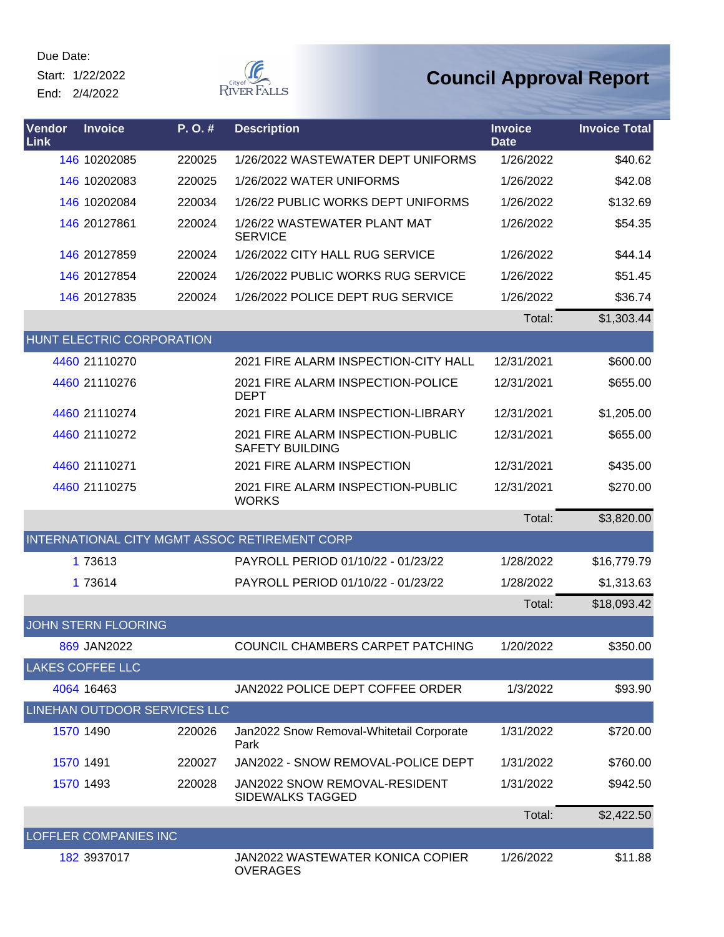Start: 1/22/2022 End: 2/4/2022



| Vendor<br>Link | <b>Invoice</b>               | P.O.#  | <b>Description</b>                                          | <b>Invoice</b><br><b>Date</b> | <b>Invoice Total</b> |
|----------------|------------------------------|--------|-------------------------------------------------------------|-------------------------------|----------------------|
|                | 146 10202085                 | 220025 | 1/26/2022 WASTEWATER DEPT UNIFORMS                          | 1/26/2022                     | \$40.62              |
|                | 146 10202083                 | 220025 | 1/26/2022 WATER UNIFORMS                                    | 1/26/2022                     | \$42.08              |
|                | 146 10202084                 | 220034 | 1/26/22 PUBLIC WORKS DEPT UNIFORMS                          | 1/26/2022                     | \$132.69             |
|                | 146 20127861                 | 220024 | 1/26/22 WASTEWATER PLANT MAT<br><b>SERVICE</b>              | 1/26/2022                     | \$54.35              |
|                | 146 20127859                 | 220024 | 1/26/2022 CITY HALL RUG SERVICE                             | 1/26/2022                     | \$44.14              |
|                | 146 20127854                 | 220024 | 1/26/2022 PUBLIC WORKS RUG SERVICE                          | 1/26/2022                     | \$51.45              |
|                | 146 20127835                 | 220024 | 1/26/2022 POLICE DEPT RUG SERVICE                           | 1/26/2022                     | \$36.74              |
|                |                              |        |                                                             | Total:                        | \$1,303.44           |
|                | HUNT ELECTRIC CORPORATION    |        |                                                             |                               |                      |
|                | 4460 21110270                |        | 2021 FIRE ALARM INSPECTION-CITY HALL                        | 12/31/2021                    | \$600.00             |
|                | 4460 21110276                |        | 2021 FIRE ALARM INSPECTION-POLICE<br><b>DEPT</b>            | 12/31/2021                    | \$655.00             |
|                | 4460 21110274                |        | 2021 FIRE ALARM INSPECTION-LIBRARY                          | 12/31/2021                    | \$1,205.00           |
|                | 4460 21110272                |        | 2021 FIRE ALARM INSPECTION-PUBLIC<br><b>SAFETY BUILDING</b> | 12/31/2021                    | \$655.00             |
|                | 4460 21110271                |        | 2021 FIRE ALARM INSPECTION                                  | 12/31/2021                    | \$435.00             |
|                | 4460 21110275                |        | 2021 FIRE ALARM INSPECTION-PUBLIC<br><b>WORKS</b>           | 12/31/2021                    | \$270.00             |
|                |                              |        |                                                             | Total:                        | \$3,820.00           |
|                |                              |        | INTERNATIONAL CITY MGMT ASSOC RETIREMENT CORP               |                               |                      |
|                | 1 73613                      |        | PAYROLL PERIOD 01/10/22 - 01/23/22                          | 1/28/2022                     | \$16,779.79          |
|                | 1 73614                      |        | PAYROLL PERIOD 01/10/22 - 01/23/22                          | 1/28/2022                     | \$1,313.63           |
|                |                              |        |                                                             | Total:                        | \$18,093.42          |
|                | <b>JOHN STERN FLOORING</b>   |        |                                                             |                               |                      |
|                | 869 JAN2022                  |        | COUNCIL CHAMBERS CARPET PATCHING                            | 1/20/2022                     | \$350.00             |
|                | <b>LAKES COFFEE LLC</b>      |        |                                                             |                               |                      |
|                | 4064 16463                   |        | JAN2022 POLICE DEPT COFFEE ORDER                            | 1/3/2022                      | \$93.90              |
|                | LINEHAN OUTDOOR SERVICES LLC |        |                                                             |                               |                      |
|                | 1570 1490                    | 220026 | Jan2022 Snow Removal-Whitetail Corporate<br>Park            | 1/31/2022                     | \$720.00             |
| 1570 1491      |                              | 220027 | JAN2022 - SNOW REMOVAL-POLICE DEPT                          | 1/31/2022                     | \$760.00             |
|                | 1570 1493                    | 220028 | JAN2022 SNOW REMOVAL-RESIDENT<br>SIDEWALKS TAGGED           | 1/31/2022                     | \$942.50             |
|                |                              |        |                                                             | Total:                        | \$2,422.50           |
|                | LOFFLER COMPANIES INC        |        |                                                             |                               |                      |
|                | 182 3937017                  |        | JAN2022 WASTEWATER KONICA COPIER<br><b>OVERAGES</b>         | 1/26/2022                     | \$11.88              |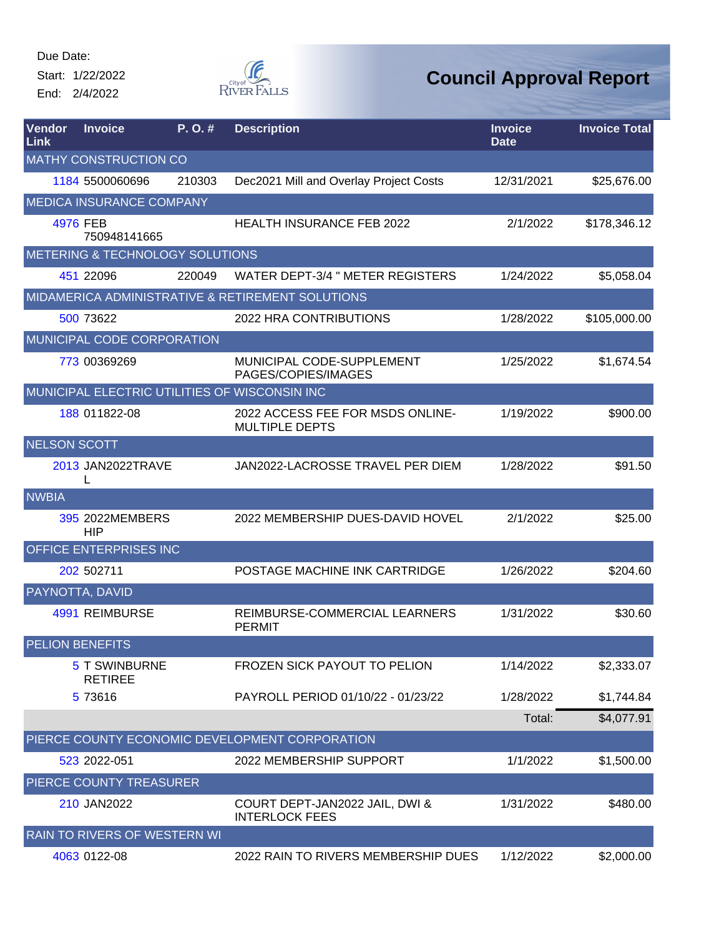Start: 1/22/2022 End: 2/4/2022



| Vendor<br>Link      | <b>Invoice</b>                             | P. O. # | <b>Description</b>                                        | <b>Invoice</b><br>Date | <b>Invoice Total</b> |
|---------------------|--------------------------------------------|---------|-----------------------------------------------------------|------------------------|----------------------|
|                     | <b>MATHY CONSTRUCTION CO</b>               |         |                                                           |                        |                      |
|                     | 1184 5500060696                            | 210303  | Dec2021 Mill and Overlay Project Costs                    | 12/31/2021             | \$25,676.00          |
|                     | <b>MEDICA INSURANCE COMPANY</b>            |         |                                                           |                        |                      |
|                     | 4976 FEB<br>750948141665                   |         | <b>HEALTH INSURANCE FEB 2022</b>                          | 2/1/2022               | \$178,346.12         |
|                     | <b>METERING &amp; TECHNOLOGY SOLUTIONS</b> |         |                                                           |                        |                      |
|                     | 451 22096                                  | 220049  | <b>WATER DEPT-3/4 " METER REGISTERS</b>                   | 1/24/2022              | \$5,058.04           |
|                     |                                            |         | MIDAMERICA ADMINISTRATIVE & RETIREMENT SOLUTIONS          |                        |                      |
|                     | 500 73622                                  |         | 2022 HRA CONTRIBUTIONS                                    | 1/28/2022              | \$105,000.00         |
|                     | MUNICIPAL CODE CORPORATION                 |         |                                                           |                        |                      |
|                     | 773 00369269                               |         | MUNICIPAL CODE-SUPPLEMENT<br>PAGES/COPIES/IMAGES          | 1/25/2022              | \$1,674.54           |
|                     |                                            |         | MUNICIPAL ELECTRIC UTILITIES OF WISCONSIN INC             |                        |                      |
|                     | 188 011822-08                              |         | 2022 ACCESS FEE FOR MSDS ONLINE-<br><b>MULTIPLE DEPTS</b> | 1/19/2022              | \$900.00             |
| <b>NELSON SCOTT</b> |                                            |         |                                                           |                        |                      |
|                     | 2013 JAN2022TRAVE                          |         | JAN2022-LACROSSE TRAVEL PER DIEM                          | 1/28/2022              | \$91.50              |
| <b>NWBIA</b>        |                                            |         |                                                           |                        |                      |
|                     | 395 2022MEMBERS<br><b>HIP</b>              |         | 2022 MEMBERSHIP DUES-DAVID HOVEL                          | 2/1/2022               | \$25.00              |
|                     | <b>OFFICE ENTERPRISES INC</b>              |         |                                                           |                        |                      |
|                     | 202 502711                                 |         | POSTAGE MACHINE INK CARTRIDGE                             | 1/26/2022              | \$204.60             |
|                     | PAYNOTTA, DAVID                            |         |                                                           |                        |                      |
|                     | 4991 REIMBURSE                             |         | REIMBURSE-COMMERCIAL LEARNERS<br><b>PERMIT</b>            | 1/31/2022              | \$30.60              |
|                     | PELION BENEFITS                            |         |                                                           |                        |                      |
|                     | <b>5 T SWINBURNE</b><br><b>RETIREE</b>     |         | <b>FROZEN SICK PAYOUT TO PELION</b>                       | 1/14/2022              | \$2,333.07           |
|                     | 5 73616                                    |         | PAYROLL PERIOD 01/10/22 - 01/23/22                        | 1/28/2022              | \$1,744.84           |
|                     |                                            |         |                                                           | Total:                 | \$4,077.91           |
|                     |                                            |         | PIERCE COUNTY ECONOMIC DEVELOPMENT CORPORATION            |                        |                      |
|                     | 523 2022-051                               |         | 2022 MEMBERSHIP SUPPORT                                   | 1/1/2022               | \$1,500.00           |
|                     | PIERCE COUNTY TREASURER                    |         |                                                           |                        |                      |
|                     | 210 JAN2022                                |         | COURT DEPT-JAN2022 JAIL, DWI &<br><b>INTERLOCK FEES</b>   | 1/31/2022              | \$480.00             |
|                     | <b>RAIN TO RIVERS OF WESTERN WI</b>        |         |                                                           |                        |                      |
|                     | 4063 0122-08                               |         | 2022 RAIN TO RIVERS MEMBERSHIP DUES                       | 1/12/2022              | \$2,000.00           |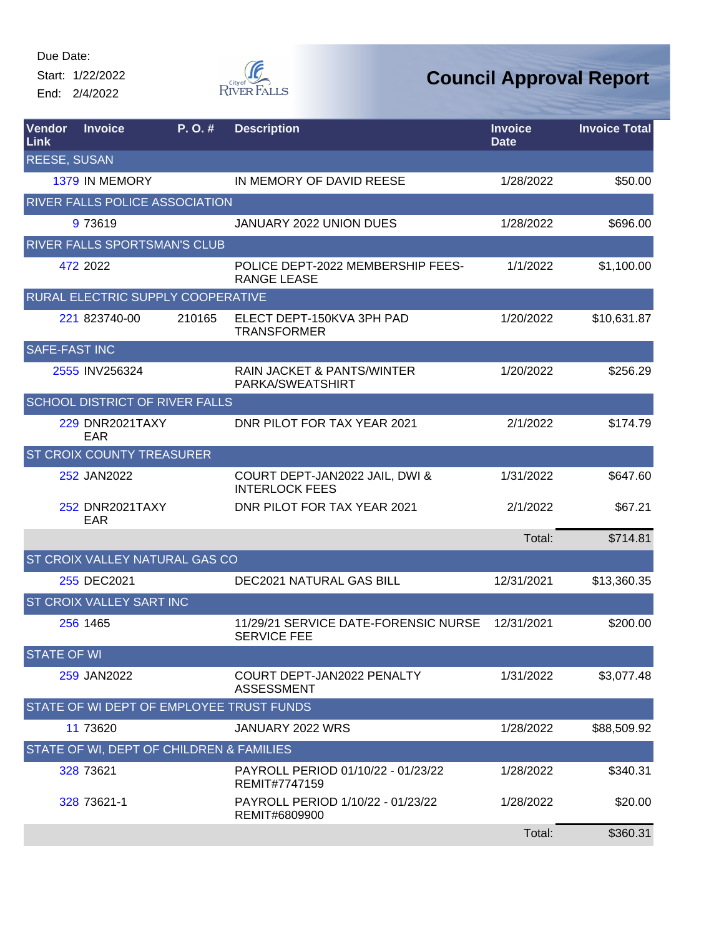Start: 1/22/2022 End: 2/4/2022



| Vendor<br>Link       | <b>Invoice</b>                           | P. O. # | <b>Description</b>                                         | <b>Invoice</b><br><b>Date</b> | <b>Invoice Total</b> |
|----------------------|------------------------------------------|---------|------------------------------------------------------------|-------------------------------|----------------------|
| <b>REESE, SUSAN</b>  |                                          |         |                                                            |                               |                      |
|                      | 1379 IN MEMORY                           |         | IN MEMORY OF DAVID REESE                                   | 1/28/2022                     | \$50.00              |
|                      | <b>RIVER FALLS POLICE ASSOCIATION</b>    |         |                                                            |                               |                      |
|                      | 9 73619                                  |         | JANUARY 2022 UNION DUES                                    | 1/28/2022                     | \$696.00             |
|                      | <b>RIVER FALLS SPORTSMAN'S CLUB</b>      |         |                                                            |                               |                      |
|                      | 472 2022                                 |         | POLICE DEPT-2022 MEMBERSHIP FEES-<br><b>RANGE LEASE</b>    | 1/1/2022                      | \$1,100.00           |
|                      | RURAL ELECTRIC SUPPLY COOPERATIVE        |         |                                                            |                               |                      |
|                      | 221 823740-00                            | 210165  | ELECT DEPT-150KVA 3PH PAD<br><b>TRANSFORMER</b>            | 1/20/2022                     | \$10,631.87          |
| <b>SAFE-FAST INC</b> |                                          |         |                                                            |                               |                      |
|                      | 2555 INV256324                           |         | <b>RAIN JACKET &amp; PANTS/WINTER</b><br>PARKA/SWEATSHIRT  | 1/20/2022                     | \$256.29             |
|                      | <b>SCHOOL DISTRICT OF RIVER FALLS</b>    |         |                                                            |                               |                      |
|                      | <b>229 DNR2021TAXY</b><br>EAR            |         | DNR PILOT FOR TAX YEAR 2021                                | 2/1/2022                      | \$174.79             |
|                      | <b>ST CROIX COUNTY TREASURER</b>         |         |                                                            |                               |                      |
|                      | 252 JAN2022                              |         | COURT DEPT-JAN2022 JAIL, DWI &<br><b>INTERLOCK FEES</b>    | 1/31/2022                     | \$647.60             |
|                      | <b>252 DNR2021TAXY</b><br>EAR            |         | DNR PILOT FOR TAX YEAR 2021                                | 2/1/2022                      | \$67.21              |
|                      |                                          |         |                                                            | Total:                        | \$714.81             |
|                      | ST CROIX VALLEY NATURAL GAS CO           |         |                                                            |                               |                      |
|                      | 255 DEC2021                              |         | <b>DEC2021 NATURAL GAS BILL</b>                            | 12/31/2021                    | \$13,360.35          |
|                      | <b>ST CROIX VALLEY SART INC</b>          |         |                                                            |                               |                      |
|                      | 256 1465                                 |         | 11/29/21 SERVICE DATE-FORENSIC NURSE<br><b>SERVICE FEE</b> | 12/31/2021                    | \$200.00             |
| <b>STATE OF WI</b>   |                                          |         |                                                            |                               |                      |
|                      | 259 JAN2022                              |         | COURT DEPT-JAN2022 PENALTY<br><b>ASSESSMENT</b>            | 1/31/2022                     | \$3,077.48           |
|                      | STATE OF WI DEPT OF EMPLOYEE TRUST FUNDS |         |                                                            |                               |                      |
|                      | 11 73620                                 |         | JANUARY 2022 WRS                                           | 1/28/2022                     | \$88,509.92          |
|                      | STATE OF WI, DEPT OF CHILDREN & FAMILIES |         |                                                            |                               |                      |
|                      | 328 73621                                |         | PAYROLL PERIOD 01/10/22 - 01/23/22<br>REMIT#7747159        | 1/28/2022                     | \$340.31             |
|                      | 328 73621-1                              |         | PAYROLL PERIOD 1/10/22 - 01/23/22<br>REMIT#6809900         | 1/28/2022                     | \$20.00              |
|                      |                                          |         |                                                            | Total:                        | \$360.31             |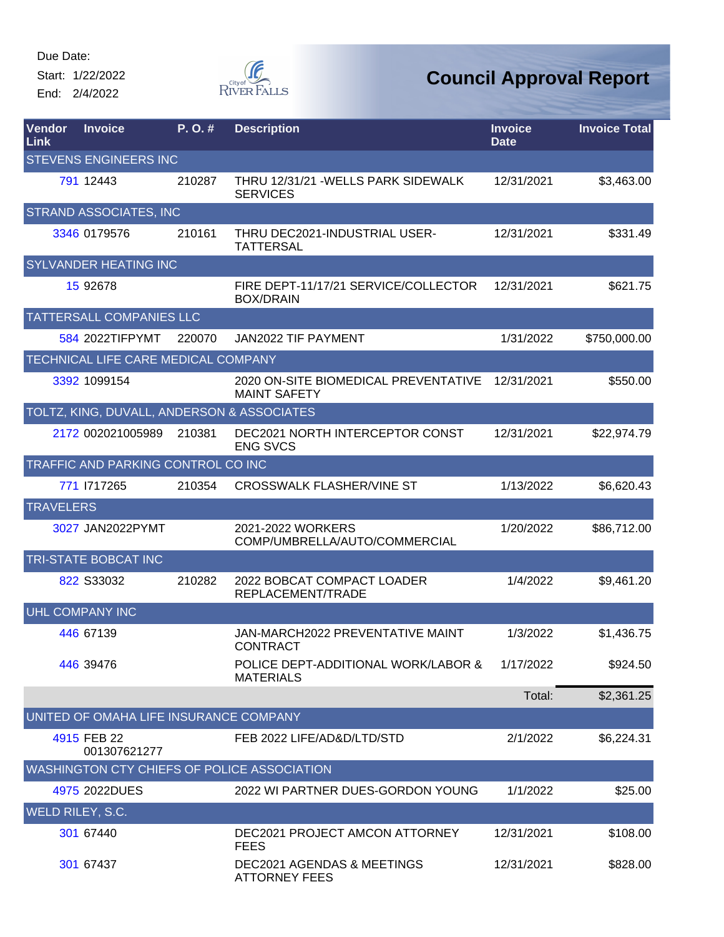Start: 1/22/2022 End: 2/4/2022



| Vendor<br><b>Link</b>                              | <b>Invoice</b>                             | P. O. # | <b>Description</b>                                            | <b>Invoice</b><br><b>Date</b> | <b>Invoice Total</b> |  |  |
|----------------------------------------------------|--------------------------------------------|---------|---------------------------------------------------------------|-------------------------------|----------------------|--|--|
|                                                    | <b>STEVENS ENGINEERS INC</b>               |         |                                                               |                               |                      |  |  |
|                                                    | 791 12443                                  | 210287  | THRU 12/31/21 - WELLS PARK SIDEWALK<br><b>SERVICES</b>        | 12/31/2021                    | \$3,463.00           |  |  |
|                                                    | <b>STRAND ASSOCIATES, INC</b>              |         |                                                               |                               |                      |  |  |
|                                                    | 3346 0179576                               | 210161  | THRU DEC2021-INDUSTRIAL USER-<br><b>TATTERSAL</b>             | 12/31/2021                    | \$331.49             |  |  |
|                                                    | <b>SYLVANDER HEATING INC</b>               |         |                                                               |                               |                      |  |  |
|                                                    | 15 92678                                   |         | FIRE DEPT-11/17/21 SERVICE/COLLECTOR<br><b>BOX/DRAIN</b>      | 12/31/2021                    | \$621.75             |  |  |
|                                                    | <b>TATTERSALL COMPANIES LLC</b>            |         |                                                               |                               |                      |  |  |
|                                                    | 584 2022TIFPYMT                            | 220070  | JAN2022 TIF PAYMENT                                           | 1/31/2022                     | \$750,000.00         |  |  |
|                                                    | TECHNICAL LIFE CARE MEDICAL COMPANY        |         |                                                               |                               |                      |  |  |
|                                                    | 3392 1099154                               |         | 2020 ON-SITE BIOMEDICAL PREVENTATIVE<br><b>MAINT SAFETY</b>   | 12/31/2021                    | \$550.00             |  |  |
|                                                    | TOLTZ, KING, DUVALL, ANDERSON & ASSOCIATES |         |                                                               |                               |                      |  |  |
|                                                    | 2172 002021005989                          | 210381  | DEC2021 NORTH INTERCEPTOR CONST<br><b>ENG SVCS</b>            | 12/31/2021                    | \$22,974.79          |  |  |
|                                                    | TRAFFIC AND PARKING CONTROL CO INC         |         |                                                               |                               |                      |  |  |
|                                                    | 771 1717265                                | 210354  | <b>CROSSWALK FLASHER/VINE ST</b>                              | 1/13/2022                     | \$6,620.43           |  |  |
| <b>TRAVELERS</b>                                   |                                            |         |                                                               |                               |                      |  |  |
|                                                    | 3027 JAN2022PYMT                           |         | 2021-2022 WORKERS<br>COMP/UMBRELLA/AUTO/COMMERCIAL            | 1/20/2022                     | \$86,712.00          |  |  |
|                                                    | TRI-STATE BOBCAT INC                       |         |                                                               |                               |                      |  |  |
|                                                    | 822 S33032                                 | 210282  | 2022 BOBCAT COMPACT LOADER<br>REPLACEMENT/TRADE               | 1/4/2022                      | \$9,461.20           |  |  |
|                                                    | <b>UHL COMPANY INC</b>                     |         |                                                               |                               |                      |  |  |
|                                                    | 446 67139                                  |         | <b>JAN-MARCH2022 PREVENTATIVE MAINT</b><br><b>CONTRACT</b>    | 1/3/2022                      | \$1,436.75           |  |  |
|                                                    | 446 39476                                  |         | POLICE DEPT-ADDITIONAL WORK/LABOR &<br><b>MATERIALS</b>       | 1/17/2022                     | \$924.50             |  |  |
|                                                    |                                            |         |                                                               | Total:                        | \$2,361.25           |  |  |
|                                                    | UNITED OF OMAHA LIFE INSURANCE COMPANY     |         |                                                               |                               |                      |  |  |
|                                                    | 4915 FEB 22<br>001307621277                |         | FEB 2022 LIFE/AD&D/LTD/STD                                    | 2/1/2022                      | \$6,224.31           |  |  |
| <b>WASHINGTON CTY CHIEFS OF POLICE ASSOCIATION</b> |                                            |         |                                                               |                               |                      |  |  |
|                                                    | 4975 2022DUES                              |         | 2022 WI PARTNER DUES-GORDON YOUNG                             | 1/1/2022                      | \$25.00              |  |  |
| <b>WELD RILEY, S.C.</b>                            |                                            |         |                                                               |                               |                      |  |  |
|                                                    | 301 67440                                  |         | DEC2021 PROJECT AMCON ATTORNEY<br><b>FEES</b>                 | 12/31/2021                    | \$108.00             |  |  |
|                                                    | 301 67437                                  |         | <b>DEC2021 AGENDAS &amp; MEETINGS</b><br><b>ATTORNEY FEES</b> | 12/31/2021                    | \$828.00             |  |  |